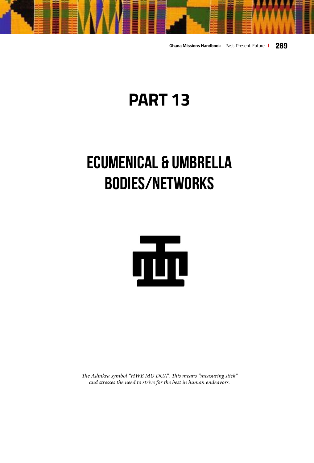**Ghana Missions Handbook** – Past. Present. Future. **269**

# **PART 13**

# **ECUMENICAL & UMBRELLA BODIES/NETWORKS**



*The Adinkra symbol "HWE MU DUA". This means "measuring stick" and stresses the need to strive for the best in human endeavors.*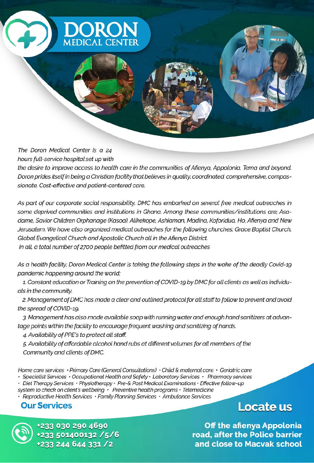

#### The Doron Medical Center is a 24 hours full-service hospital set up with

the desire to improve access to health care in the communities of Afienya, Appolonia, Tema and beyond. Doron prides itself in being a Christian facility that believes in quality, coordinated, comprehensive, compassionate, Cost-effective and patient-centered care.

As part of our corporate social responsibility, DMC has embarked on several free medical outreaches in some deprived communities and institutions in Ghana. Among these communities/institutions are; Asadame, Savior Children Orphanage (Kasoa), Alikekope, Ashiaman, Madina, Koforidua, Ho, Afienya and New Jerusalem. We have also organized medical outreaches for the following churches; Grace Baptist Church, Global Evangelical Church and Apostolic Church all in the Afienya District.

In all, a total number of 2700 people befitted from our medical outreaches

As a health facility, Doron Medical Center is taking the following steps in the wake of the deadly Covid-19 pandemic happening around the world:

1. Constant education or Training on the prevention of COVID-19 by DMC for all clients as well as individuals in the community.

2. Management of DMC has made a clear and outlined protocol for all staff to follow to prevent and avoid the spread of COVID-19.

3. Management has also made available soap with running water and enough hand sanitizers at advantage points within the facility to encourage frequent washing and sanitizing of hands.

4. Availability of PPE's to protect all staff.

5. Availability of affordable alcohol hand rubs at different volumes for all members of the Community and clients of DMC.

Home care services  $\cdot$  Primary Care (General Consultations)  $\cdot$  Child & maternal care  $\cdot$  Geriatric care

• Specialist Services • Occupational Health and Safety • Laboratory Services • Pharmacy services

Diet Therapy Services · Physiotherapy · Pre-& Post Medical Examinations · Effective follow-up system to check on client's wellbeing  $\cdot$  Preventive health programs  $\cdot$  Telemedicine

· Reproductive Health Services · Family Planning Services · Ambulance Services

### **Our Services**

**Locate us** 

233 030 290 4690 33 501400132 /5/6 33 244 644 331 /2

**Off the afienya Appolonia** road, after the Police barrier and close to Macvak school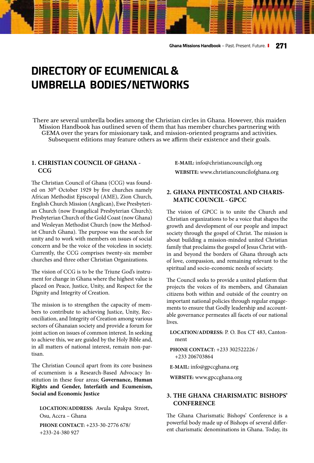## **DIRECTORY OF ECUMENICAL & UMBRELLA BODIES/NETWORKS**

There are several umbrella bodies among the Christian circles in Ghana. However, this maiden Mission Handbook has outlined seven of them that has member churches partnering with GEMA over the years for missionary task, and mission-oriented programs and activities. Subsequent editions may feature others as we affirm their existence and their goals.

#### **1. [CHRISTIAN COUNCIL OF GHANA -](http://www.christiancouncilofghana.org )  [CCG](http://www.christiancouncilofghana.org )**

The Christian Council of Ghana (CCG) was founded on 30<sup>th</sup> October 1929 by five churches namely African Methodist Episcopal (AME), Zion Church, English Church Mission (Anglican), Ewe Presbyterian Church (now Evangelical Presbyterian Church); Presbyterian Church of the Gold Coast (now Ghana) and Wesleyan Methodist Church (now the Methodist Church Ghana). The purpose was the search for unity and to work with members on issues of social concern and be the voice of the voiceless in society. Currently, the CCG comprises twenty-six member churches and three other Christian Organizations.

The vision of CCG is to be the Triune God's instrument for change in Ghana where the highest value is placed on Peace, Justice, Unity, and Respect for the Dignity and Integrity of Creation.

The mission is to strengthen the capacity of members to contribute to achieving Justice, Unity, Reconciliation, and Integrity of Creation among various sectors of Ghanaian society and provide a forum for joint action on issues of common interest. In seeking to achieve this, we are guided by the Holy Bible and, in all matters of national interest, remain non-partisan.

The Christian Council apart from its core business of ecumenism is a Research-Based Advocacy Institution in these four areas; **Governance, Human Rights and Gender, Interfaith and Ecumenism, Social and Economic Justice**

**LOCATION/ADDRESS:** Awula Kpakpa Street, Osu, Accra – Ghana **PHONE CONTACT:** +233-30-2776 678/ +233-24-380 927

**E-MAIL:** info@christiancouncilgh.org **WEBSITE:** [www.christiancouncilofghana.org](http://www.christiancouncilofghana.org ) 

#### **2. [GHANA PENTECOSTAL AND CHARIS-](http://www.gpccghana.org)[MATIC COUNCIL - GPCC](http://www.gpccghana.org)**

The vision of GPCC is to unite the Church and Christian organizations to be a voice that shapes the growth and development of our people and impact society through the gospel of Christ. The mission is about building a mission-minded united Christian family that proclaims the gospel of Jesus Christ within and beyond the borders of Ghana through acts of love, compassion, and remaining relevant to the spiritual and socio-economic needs of society.

The Council seeks to provide a united platform that projects the voices of its members, and Ghanaian citizens both within and outside of the country on important national policies through regular engagements to ensure that Godly leadership and accountable governance permeates all facets of our national lives.

**LOCATION/ADDRESS:** P. O. Box CT 483, Cantonment

**PHONE CONTACT:** +233 302522226 / +233 206703864

**E-MAIL:** info@gpccghana.org

**WEBSITE:** [www.gpccghana.org](http://www.gpccghana.org)

#### **3. [THE GHANA CHARISMATIC BISHOPS'](http://www.ghanacharismaticbishops.org) [CONFERENCE](http://www.ghanacharismaticbishops.org)**

The Ghana Charismatic Bishops' Conference is a powerful body made up of Bishops of several different charismatic denominations in Ghana. Today, its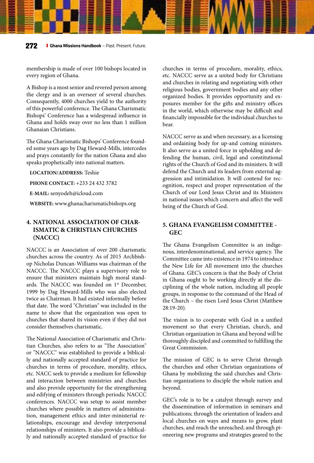membership is made of over 100 bishops located in every region of Ghana.

A Bishop is a most senior and revered person among the clergy and is an overseer of several churches. Consequently, 4000 churches yield to the authority of this powerful conference. The Ghana Charismatic Bishops' Conference has a widespread influence in Ghana and holds sway over no less than 1 million Ghanaian Christians.

The Ghana Charismatic Bishops' Conference founded some years ago by Dag Heward-Mills, intercedes and prays constantly for the nation Ghana and also speaks prophetically into national matters.

#### **LOCATION/ADDRESS:** Teshie

**PHONE CONTACT:** +233 24 432 3782

**E-MAIL:** senyodeh@icloud.com

**WEBSITE:** [www.ghanacharismaticbishops.org](http://www.ghanacharismaticbishops.org) 

#### **4. NATIONAL ASSOCIATION OF CHAR-ISMATIC & CHRISTIAN CHURCHES (NACCC)**

NACCC is an Association of over 200 charismatic churches across the country. As of 2015 Archbishop Nicholas Duncan-Williams was chairman of the NACCC. The NACCC plays a supervisory role to ensure that ministers maintain high moral standards. The NACCC was founded on 1<sup>st</sup> December, 1999 by Dag Heward-Mills who was also elected twice as Chairman. It had existed informally before that date. The word "Christian" was included in the name to show that the organization was open to churches that shared its vision even if they did not consider themselves charismatic.

The National Association of Charismatic and Christian Churches, also refers to as "The Association" or "NACCC" was established to provide a biblically and nationally accepted standard of practice for churches in terms of procedure, morality, ethics, etc. NACC seek to provide a medium for fellowship and interaction between ministries and churches and also provide opportunity for the strengthening and edifying of ministers through periodic NACCC conferences. NACCC was setup to assist member churches where possible in matters of administration, management ethics and inter-ministerial relationships, encourage and develop interpersonal relationships of ministers. It also provide a biblically and nationally accepted standard of practice for

churches in terms of procedure, morality, ethics, etc. NACCC serve as a united body for Christians and churches in relating and negotiating with other religious bodies, government bodies and any other organized bodies. It provides opportunity and exposures member for the gifts and ministry offices in the world, which otherwise may be difficult and financially impossible for the individual churches to bear.

NACCC serve as and when necessary, as a licensing and ordaining body for up-and coming ministers. It also serve as a united force in upholding and defending the human, civil, legal and constitutional rights of the Church of God and its ministers. It will defend the Church and its leaders from external aggression and intimidation. It will contend for recognition, respect and proper representation of the Church of our Lord Jesus Christ and its Ministers in national issues which concern and affect the well being of the Church of God.

#### **[5. GHANA EVANGELISM COMMITTEE -](http://www.ghanaevangelismcommittee.org)  [GEC](http://www.ghanaevangelismcommittee.org)**

The Ghana Evangelism Committee is an indigenous, interdenominational, and service agency. The Committee came into existence in 1974 to introduce the New Life for All movement into the churches of Ghana. GEC's concern is that the Body of Christ in Ghana ought to be working directly at the disciplining of the whole nation, including all people groups, in response to the command of the Head of the Church – the risen Lord Jesus Christ (Matthew 28:19-20).

The vision is to cooperate with God in a unified movement so that every Christian, church, and Christian organization in Ghana and beyond will be thoroughly discipled and committed to fulfilling the Great Commission.

The mission of GEC is to serve Christ through the churches and other Christian organizations of Ghana by mobilizing the said churches and Christian organizations to disciple the whole nation and beyond.

GEC's role is to be a catalyst through survey and the dissemination of information in seminars and publications; through the orientation of leaders and local churches on ways and means to grow, plant churches, and reach the unreached; and through pioneering new programs and strategies geared to the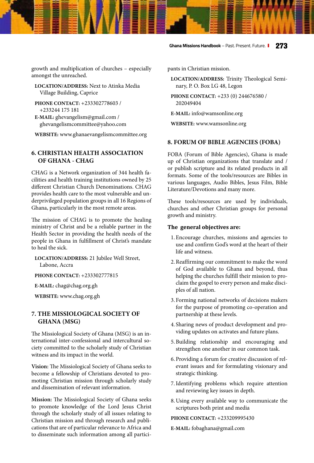#### **Ghana Missions Handbook** – Past. Present. Future. **273**

growth and multiplication of churches – especially amongst the unreached.

**LOCATION/ADDRESS:** Next to Atinka Media Village Building, Caprice

- **PHONE CONTACT:** +233302778603 / +233244 175 181
- **E-MAIL:** ghevangelism@gmail.com / ghevangelismcommittee@yahoo.com

**WEBSITE:** [www.ghanaevangelismcommittee.org](http://www.ghanaevangelismcommittee.org)

#### **[6. CHRISTIAN HEALTH ASSOCIATION](http://www.chag.org.gh )  [OF GHANA - CHAG](http://www.chag.org.gh )**

CHAG is a Network organization of 344 health facilities and health training institutions owned by 25 different Christian Church Denominations. CHAG provides health care to the most vulnerable and underprivileged population groups in all 16 Regions of Ghana, particularly in the most remote areas.

The mission of CHAG is to promote the healing ministry of Christ and be a reliable partner in the Health Sector in providing the health needs of the people in Ghana in fulfillment of Christ's mandate to heal the sick.

**LOCATION/ADDRESS:** 21 Jubilee Well Street, Labone, Accra

**PHONE CONTACT:** +233302777815

**E-MAIL:** chag@chag.org.gh

**WEBSITE:** [www.chag.org.gh](http://www.chag.org.gh )

#### **[7. THE MISSIOLOGICAL SOCIETY OF](http://www.wamsonline.org  )  [GHANA \(MSG\)](http://www.wamsonline.org  )**

The Missiological Society of Ghana (MSG) is an international inter-confessional and intercultural society committed to the scholarly study of Christian witness and its impact in the world.

**Vision:** The Missiological Society of Ghana seeks to become a fellowship of Christians devoted to promoting Christian mission through scholarly study and dissemination of relevant information.

**Mission:** The Missiological Society of Ghana seeks to promote knowledge of the Lord Jesus Christ through the scholarly study of all issues relating to Christian mission and through research and publications that are of particular relevance to Africa and to disseminate such information among all participants in Christian mission.

**LOCATION/ADDRESS:** Trinity Theological Seminary, P. O. Box LG 48, Legon

**PHONE CONTACT:** +233 (0) 244676580 / 202049404

**E-MAIL:** info@wamsonline.org

**WEBSITE:** [www.wamsonline.org](http://www.wamsonline.org  ) 

#### **8. FORUM OF BIBLE AGENCIES (FOBA)**

FOBA (Forum of Bible Agencies), Ghana is made up of Christian organizations that translate and / or publish scripture and its related products in all formats. Some of the tools/resources are Bibles in various languages, Audio Bibles, Jesus Film, Bible Literature/Devotions and many more.

These tools/resources are used by individuals, churches and other Christian groups for personal growth and ministry.

#### **The general objectives are:**

- 1. Encourage churches, missions and agencies to use and confirm God's word at the heart of their life and witness.
- 2.Reaffirming our commitment to make the word of God available to Ghana and beyond, thus helping the churches fulfill their mission to proclaim the gospel to every person and make disciples of all nation.
- 3. Forming national networks of decisions makers for the purpose of promoting co-operation and partnership at these levels.
- 4. Sharing news of product development and providing updates on activates and future plans.
- 5.Building relationship and encouraging and strengthen one another in our common task.
- 6. Providing a forum for creative discussion of relevant issues and for formulating visionary and strategic thinking.
- 7.Identifying problems which require attention and reviewing key issues in depth.
- 8.Using every available way to communicate the scriptures both print and media

**PHONE CONTACT:** +233209995430

**E-MAIL:** fobaghana@gmail.com